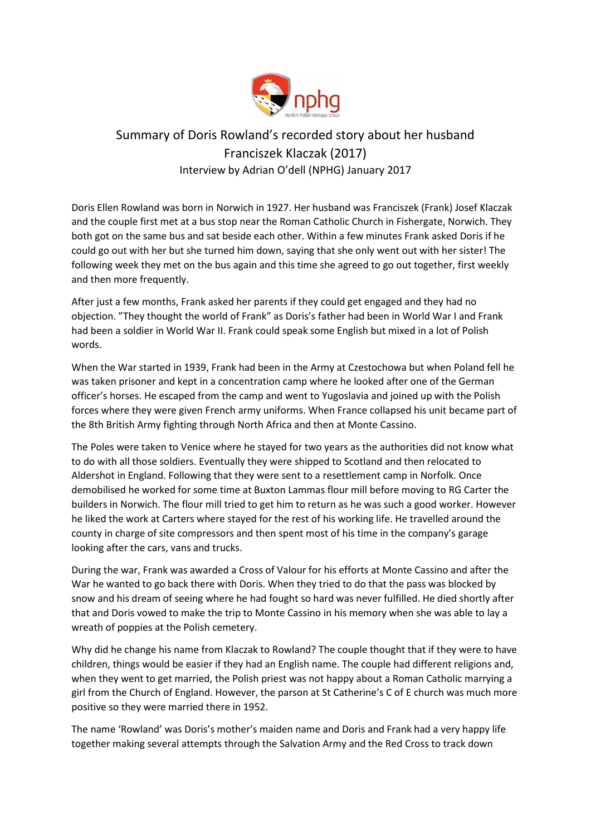

## Summary of Doris Rowland's recorded story about her husband Franciszek Klaczak (2017) Interview by Adrian O'dell (NPHG) January 2017

Doris Ellen Rowland was born in Norwich in 1927. Her husband was Franciszek (Frank) Josef Klaczak and the couple first met at a bus stop near the Roman Catholic Church in Fishergate, Norwich. They both got on the same bus and sat beside each other. Within a few minutes Frank asked Doris if he could go out with her but she turned him down, saying that she only went out with her sister! The following week they met on the bus again and this time she agreed to go out together, first weekly and then more frequently.

After just a few months, Frank asked her parents if they could get engaged and they had no objection. "They thought the world of Frank" as Doris's father had been in World War I and Frank had been a soldier in World War II. Frank could speak some English but mixed in a lot of Polish words.

When the War started in 1939, Frank had been in the Army at Czestochowa but when Poland fell he was taken prisoner and kept in a concentration camp where he looked after one of the German officer's horses. He escaped from the camp and went to Yugoslavia and joined up with the Polish forces where they were given French army uniforms. When France collapsed his unit became part of the 8th British Army fighting through North Africa and then at Monte Cassino.

The Poles were taken to Venice where he stayed for two years as the authorities did not know what to do with all those soldiers. Eventually they were shipped to Scotland and then relocated to Aldershot in England. Following that they were sent to a resettlement camp in Norfolk. Once demobilised he worked for some time at Buxton Lammas flour mill before moving to RG Carter the builders in Norwich. The flour mill tried to get him to return as he was such a good worker. However he liked the work at Carters where stayed for the rest of his working life. He travelled around the county in charge of site compressors and then spent most of his time in the company's garage looking after the cars, vans and trucks.

During the war, Frank was awarded a Cross of Valour for his efforts at Monte Cassino and after the War he wanted to go back there with Doris. When they tried to do that the pass was blocked by snow and his dream of seeing where he had fought so hard was never fulfilled. He died shortly after that and Doris vowed to make the trip to Monte Cassino in his memory when she was able to lay a wreath of poppies at the Polish cemetery.

Why did he change his name from Klaczak to Rowland? The couple thought that if they were to have children, things would be easier if they had an English name. The couple had different religions and, when they went to get married, the Polish priest was not happy about a Roman Catholic marrying a girl from the Church of England. However, the parson at St Catherine's C of E church was much more positive so they were married there in 1952.

The name 'Rowland' was Doris's mother's maiden name and Doris and Frank had a very happy life together making several attempts through the Salvation Army and the Red Cross to track down